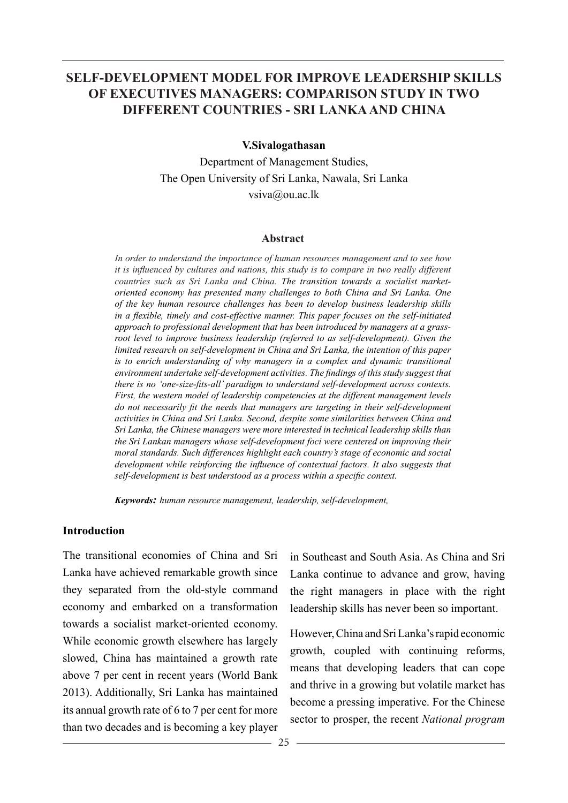## **SELF-DEVELOPMENT MODEL FOR IMPROVE LEADERSHIP SKILLS OF EXECUTIVES MANAGERS: COMPARISON STUDY IN TWO DIFFERENT COUNTRIES - SRI LANKA AND CHINA**

#### **V.Sivalogathasan**

Department of Management Studies, The Open University of Sri Lanka, Nawala, Sri Lanka vsiva@ou.ac.lk

#### **Abstract**

*In order to understand the importance of human resources management and to see how it is influenced by cultures and nations, this study is to compare in two really different countries such as Sri Lanka and China. The transition towards a socialist marketoriented economy has presented many challenges to both China and Sri Lanka. One of the key human resource challenges has been to develop business leadership skills in a flexible, timely and cost-effective manner. This paper focuses on the self-initiated approach to professional development that has been introduced by managers at a grassroot level to improve business leadership (referred to as self-development). Given the limited research on self-development in China and Sri Lanka, the intention of this paper is to enrich understanding of why managers in a complex and dynamic transitional environment undertake self-development activities. The findings of this study suggest that there is no 'one-size-fits-all' paradigm to understand self-development across contexts. First, the western model of leadership competencies at the different management levels do not necessarily fit the needs that managers are targeting in their self-development activities in China and Sri Lanka. Second, despite some similarities between China and Sri Lanka, the Chinese managers were more interested in technical leadership skills than the Sri Lankan managers whose self-development foci were centered on improving their moral standards. Such differences highlight each country's stage of economic and social development while reinforcing the influence of contextual factors. It also suggests that self-development is best understood as a process within a specific context.*

*Keywords: human resource management, leadership, self-development,* 

#### **Introduction**

The transitional economies of China and Sri Lanka have achieved remarkable growth since they separated from the old-style command economy and embarked on a transformation towards a socialist market-oriented economy. While economic growth elsewhere has largely slowed, China has maintained a growth rate above 7 per cent in recent years (World Bank 2013). Additionally, Sri Lanka has maintained its annual growth rate of 6 to 7 per cent for more than two decades and is becoming a key player

in Southeast and South Asia. As China and Sri Lanka continue to advance and grow, having the right managers in place with the right leadership skills has never been so important.

However, China and Sri Lanka's rapid economic growth, coupled with continuing reforms, means that developing leaders that can cope and thrive in a growing but volatile market has become a pressing imperative. For the Chinese sector to prosper, the recent *National program*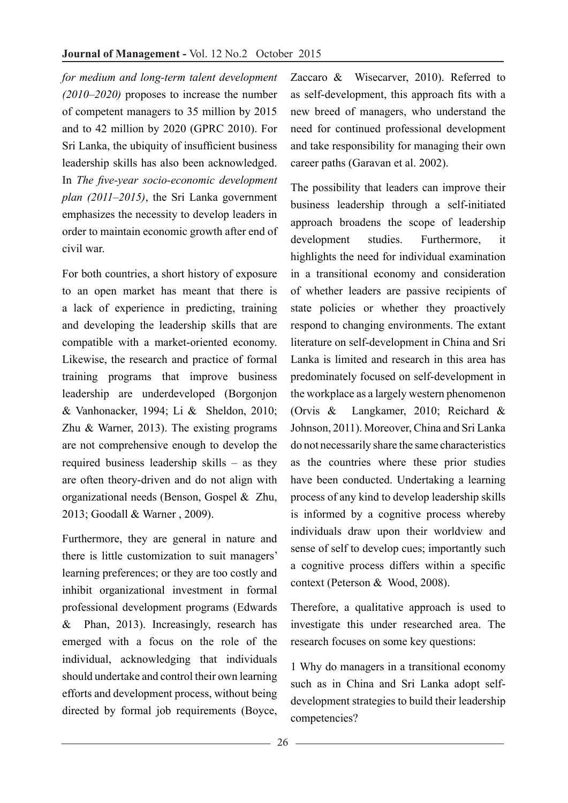*for medium and long-term talent development (2010–2020)* proposes to increase the number of competent managers to 35 million by 2015 and to 42 million by 2020 (GPRC 2010). For Sri Lanka, the ubiquity of insufficient business leadership skills has also been acknowledged. In *The five-year socio-economic development plan (2011–2015)*, the Sri Lanka government emphasizes the necessity to develop leaders in order to maintain economic growth after end of civil war.

For both countries, a short history of exposure to an open market has meant that there is a lack of experience in predicting, training and developing the leadership skills that are compatible with a market-oriented economy. Likewise, the research and practice of formal training programs that improve business leadership are underdeveloped (Borgonjon & Vanhonacker, 1994; Li & Sheldon, 2010; Zhu & Warner, 2013). The existing programs are not comprehensive enough to develop the required business leadership skills – as they are often theory-driven and do not align with organizational needs (Benson, Gospel & Zhu, 2013; Goodall & Warner , 2009).

Furthermore, they are general in nature and there is little customization to suit managers' learning preferences; or they are too costly and inhibit organizational investment in formal professional development programs (Edwards & Phan, 2013). Increasingly, research has emerged with a focus on the role of the individual, acknowledging that individuals should undertake and control their own learning efforts and development process, without being directed by formal job requirements (Boyce,

Zaccaro & Wisecarver, 2010). Referred to as self-development, this approach fits with a new breed of managers, who understand the need for continued professional development and take responsibility for managing their own career paths (Garavan et al. 2002).

The possibility that leaders can improve their business leadership through a self-initiated approach broadens the scope of leadership development studies. Furthermore, it highlights the need for individual examination in a transitional economy and consideration of whether leaders are passive recipients of state policies or whether they proactively respond to changing environments. The extant literature on self-development in China and Sri Lanka is limited and research in this area has predominately focused on self-development in the workplace as a largely western phenomenon (Orvis & Langkamer, 2010; Reichard & Johnson, 2011). Moreover, China and Sri Lanka do not necessarily share the same characteristics as the countries where these prior studies have been conducted. Undertaking a learning process of any kind to develop leadership skills is informed by a cognitive process whereby individuals draw upon their worldview and sense of self to develop cues; importantly such a cognitive process differs within a specific context (Peterson & Wood, 2008).

Therefore, a qualitative approach is used to investigate this under researched area. The research focuses on some key questions:

1 Why do managers in a transitional economy such as in China and Sri Lanka adopt selfdevelopment strategies to build their leadership competencies?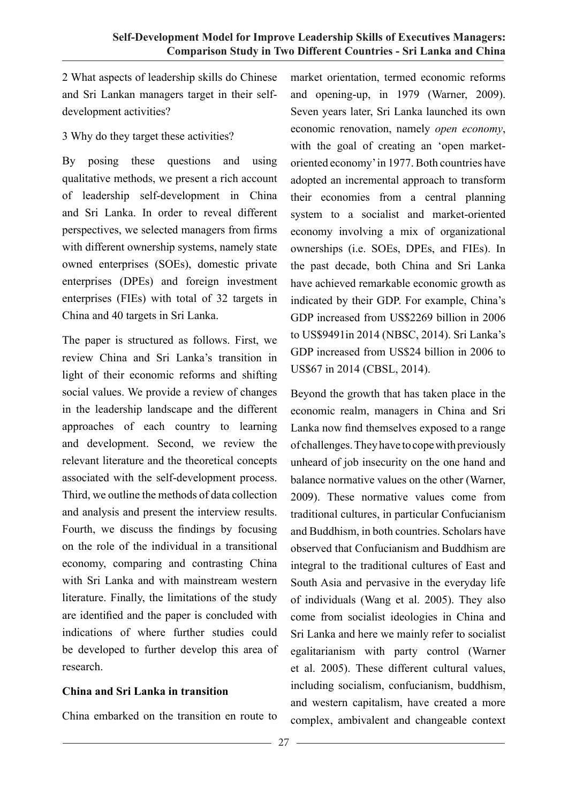2 What aspects of leadership skills do Chinese and Sri Lankan managers target in their selfdevelopment activities?

3 Why do they target these activities?

By posing these questions and using qualitative methods, we present a rich account of leadership self-development in China and Sri Lanka. In order to reveal different perspectives, we selected managers from firms with different ownership systems, namely state owned enterprises (SOEs), domestic private enterprises (DPEs) and foreign investment enterprises (FIEs) with total of 32 targets in China and 40 targets in Sri Lanka.

The paper is structured as follows. First, we review China and Sri Lanka's transition in light of their economic reforms and shifting social values. We provide a review of changes in the leadership landscape and the different approaches of each country to learning and development. Second, we review the relevant literature and the theoretical concepts associated with the self-development process. Third, we outline the methods of data collection and analysis and present the interview results. Fourth, we discuss the findings by focusing on the role of the individual in a transitional economy, comparing and contrasting China with Sri Lanka and with mainstream western literature. Finally, the limitations of the study are identified and the paper is concluded with indications of where further studies could be developed to further develop this area of research.

## **China and Sri Lanka in transition**

China embarked on the transition en route to

market orientation, termed economic reforms and opening-up, in 1979 (Warner, 2009). Seven years later, Sri Lanka launched its own economic renovation, namely *open economy*, with the goal of creating an 'open marketoriented economy' in 1977. Both countries have adopted an incremental approach to transform their economies from a central planning system to a socialist and market-oriented economy involving a mix of organizational ownerships (i.e. SOEs, DPEs, and FIEs). In the past decade, both China and Sri Lanka have achieved remarkable economic growth as indicated by their GDP. For example, China's GDP increased from US\$2269 billion in 2006 to US\$9491in 2014 (NBSC, 2014). Sri Lanka's GDP increased from US\$24 billion in 2006 to US\$67 in 2014 (CBSL, 2014).

Beyond the growth that has taken place in the economic realm, managers in China and Sri Lanka now find themselves exposed to a range of challenges. They have to cope with previously unheard of job insecurity on the one hand and balance normative values on the other (Warner, 2009). These normative values come from traditional cultures, in particular Confucianism and Buddhism, in both countries. Scholars have observed that Confucianism and Buddhism are integral to the traditional cultures of East and South Asia and pervasive in the everyday life of individuals (Wang et al. 2005). They also come from socialist ideologies in China and Sri Lanka and here we mainly refer to socialist egalitarianism with party control (Warner et al. 2005). These different cultural values, including socialism, confucianism, buddhism, and western capitalism, have created a more complex, ambivalent and changeable context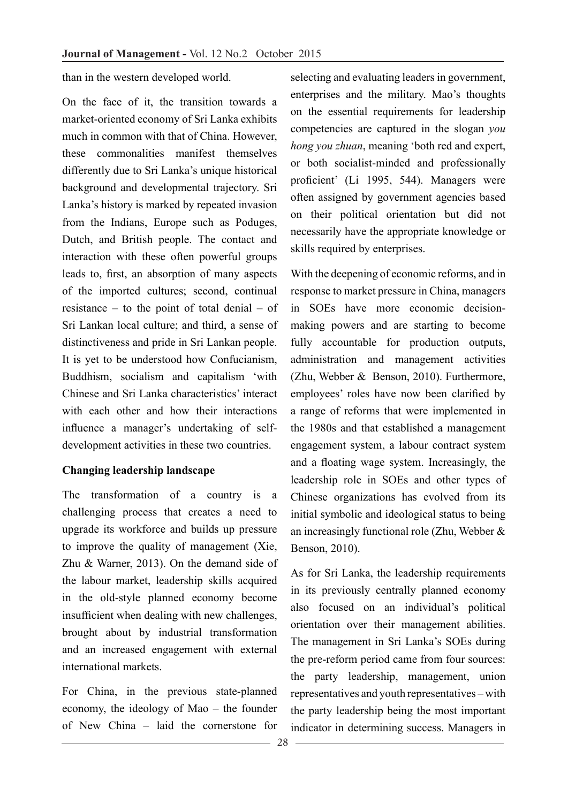than in the western developed world.

On the face of it, the transition towards a market-oriented economy of Sri Lanka exhibits much in common with that of China. However, these commonalities manifest themselves differently due to Sri Lanka's unique historical background and developmental trajectory. Sri Lanka's history is marked by repeated invasion from the Indians, Europe such as Poduges, Dutch, and British people. The contact and interaction with these often powerful groups leads to, first, an absorption of many aspects of the imported cultures; second, continual resistance – to the point of total denial – of Sri Lankan local culture; and third, a sense of distinctiveness and pride in Sri Lankan people. It is yet to be understood how Confucianism, Buddhism, socialism and capitalism 'with Chinese and Sri Lanka characteristics' interact with each other and how their interactions influence a manager's undertaking of selfdevelopment activities in these two countries.

## **Changing leadership landscape**

The transformation of a country is a challenging process that creates a need to upgrade its workforce and builds up pressure to improve the quality of management (Xie, Zhu & Warner, 2013). On the demand side of the labour market, leadership skills acquired in the old-style planned economy become insufficient when dealing with new challenges, brought about by industrial transformation and an increased engagement with external international markets.

For China, in the previous state-planned economy, the ideology of Mao – the founder of New China – laid the cornerstone for

selecting and evaluating leaders in government, enterprises and the military. Mao's thoughts on the essential requirements for leadership competencies are captured in the slogan *you hong you zhuan*, meaning 'both red and expert, or both socialist-minded and professionally proficient' (Li 1995, 544). Managers were often assigned by government agencies based on their political orientation but did not necessarily have the appropriate knowledge or skills required by enterprises.

With the deepening of economic reforms, and in response to market pressure in China, managers in SOEs have more economic decisionmaking powers and are starting to become fully accountable for production outputs, administration and management activities (Zhu, Webber & Benson, 2010). Furthermore, employees' roles have now been clarified by a range of reforms that were implemented in the 1980s and that established a management engagement system, a labour contract system and a floating wage system. Increasingly, the leadership role in SOEs and other types of Chinese organizations has evolved from its initial symbolic and ideological status to being an increasingly functional role (Zhu, Webber & Benson, 2010).

As for Sri Lanka, the leadership requirements in its previously centrally planned economy also focused on an individual's political orientation over their management abilities. The management in Sri Lanka's SOEs during the pre-reform period came from four sources: the party leadership, management, union representatives and youth representatives – with the party leadership being the most important indicator in determining success. Managers in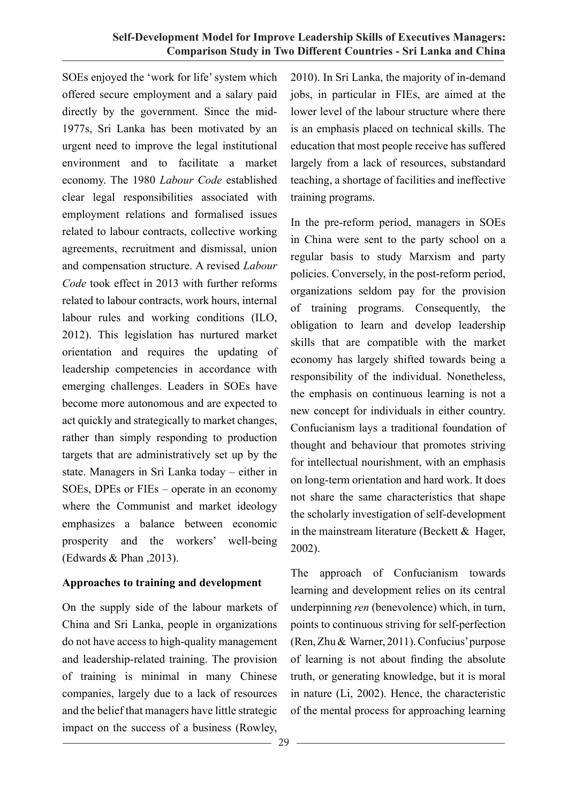SOEs enjoyed the 'work for life' system which offered secure employment and a salary paid directly by the government. Since the mid-1977s, Sri Lanka has been motivated by an urgent need to improve the legal institutional environment and to facilitate a market economy. The 1980 *Labour Code* established clear legal responsibilities associated with employment relations and formalised issues related to labour contracts, collective working agreements, recruitment and dismissal, union and compensation structure. A revised *Labour Code* took effect in 2013 with further reforms related to labour contracts, work hours, internal labour rules and working conditions (ILO, 2012). This legislation has nurtured market orientation and requires the updating of leadership competencies in accordance with emerging challenges. Leaders in SOEs have become more autonomous and are expected to act quickly and strategically to market changes, rather than simply responding to production targets that are administratively set up by the state. Managers in Sri Lanka today – either in SOEs, DPEs or FIEs – operate in an economy where the Communist and market ideology emphasizes a balance between economic prosperity and the workers' well-being (Edwards  $& Phan$ , 2013).

## **Approaches to training and development**

On the supply side of the labour markets of China and Sri Lanka, people in organizations do not have access to high-quality management and leadership-related training. The provision of training is minimal in many Chinese companies, largely due to a lack of resources and the belief that managers have little strategic impact on the success of a business (Rowley,

2010). In Sri Lanka, the majority of in-demand jobs, in particular in FIEs, are aimed at the lower level of the labour structure where there is an emphasis placed on technical skills. The education that most people receive has suffered largely from a lack of resources, substandard teaching, a shortage of facilities and ineffective training programs.

In the pre-reform period, managers in SOEs in China were sent to the party school on a regular basis to study Marxism and party policies. Conversely, in the post-reform period, organizations seldom pay for the provision of training programs. Consequently, the obligation to learn and develop leadership skills that are compatible with the market economy has largely shifted towards being a responsibility of the individual. Nonetheless, the emphasis on continuous learning is not a new concept for individuals in either country. Confucianism lays a traditional foundation of thought and behaviour that promotes striving for intellectual nourishment, with an emphasis on long-term orientation and hard work. It does not share the same characteristics that shape the scholarly investigation of self-development in the mainstream literature (Beckett & Hager, 2002).

The approach of Confucianism towards learning and development relies on its central underpinning *ren* (benevolence) which, in turn, points to continuous striving for self-perfection (Ren, Zhu & Warner, 2011). Confucius' purpose of learning is not about finding the absolute truth, or generating knowledge, but it is moral in nature (Li, 2002). Hence, the characteristic of the mental process for approaching learning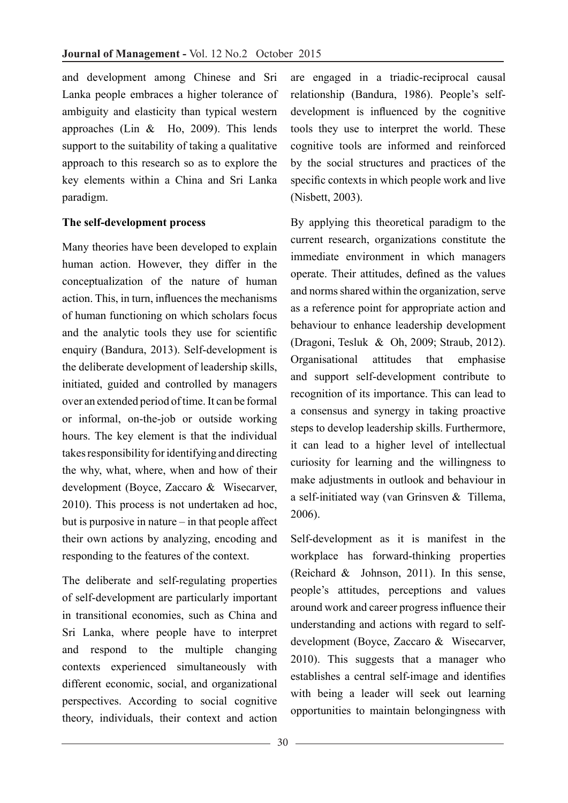and development among Chinese and Sri Lanka people embraces a higher tolerance of ambiguity and elasticity than typical western approaches (Lin & Ho, 2009). This lends support to the suitability of taking a qualitative approach to this research so as to explore the key elements within a China and Sri Lanka paradigm.

## **The self-development process**

Many theories have been developed to explain human action. However, they differ in the conceptualization of the nature of human action. This, in turn, influences the mechanisms of human functioning on which scholars focus and the analytic tools they use for scientific enquiry (Bandura, 2013). Self-development is the deliberate development of leadership skills, initiated, guided and controlled by managers over an extended period of time. It can be formal or informal, on-the-job or outside working hours. The key element is that the individual takes responsibility for identifying and directing the why, what, where, when and how of their development (Boyce, Zaccaro & Wisecarver, 2010). This process is not undertaken ad hoc, but is purposive in nature – in that people affect their own actions by analyzing, encoding and responding to the features of the context.

The deliberate and self-regulating properties of self-development are particularly important in transitional economies, such as China and Sri Lanka, where people have to interpret and respond to the multiple changing contexts experienced simultaneously with different economic, social, and organizational perspectives. According to social cognitive theory, individuals, their context and action

are engaged in a triadic-reciprocal causal relationship (Bandura, 1986). People's selfdevelopment is influenced by the cognitive tools they use to interpret the world. These cognitive tools are informed and reinforced by the social structures and practices of the specific contexts in which people work and live (Nisbett, 2003).

By applying this theoretical paradigm to the current research, organizations constitute the immediate environment in which managers operate. Their attitudes, defined as the values and norms shared within the organization, serve as a reference point for appropriate action and behaviour to enhance leadership development (Dragoni, Tesluk & Oh, 2009; Straub, 2012). Organisational attitudes that emphasise and support self-development contribute to recognition of its importance. This can lead to a consensus and synergy in taking proactive steps to develop leadership skills. Furthermore, it can lead to a higher level of intellectual curiosity for learning and the willingness to make adjustments in outlook and behaviour in a self-initiated way (van Grinsven & Tillema, 2006).

Self-development as it is manifest in the workplace has forward-thinking properties (Reichard & Johnson, 2011). In this sense, people's attitudes, perceptions and values around work and career progress influence their understanding and actions with regard to selfdevelopment (Boyce, Zaccaro & Wisecarver, 2010). This suggests that a manager who establishes a central self-image and identifies with being a leader will seek out learning opportunities to maintain belongingness with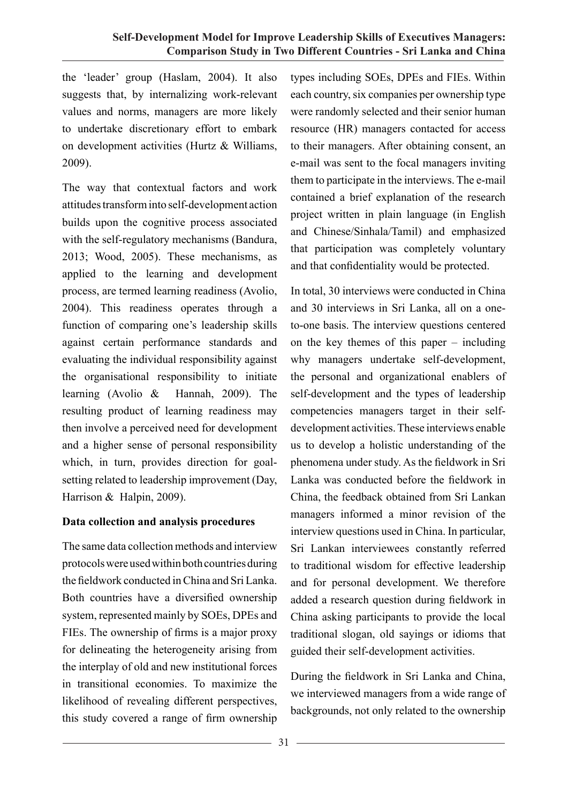the 'leader' group (Haslam, 2004). It also suggests that, by internalizing work-relevant values and norms, managers are more likely to undertake discretionary effort to embark on development activities (Hurtz & Williams, 2009).

The way that contextual factors and work attitudes transform into self-development action builds upon the cognitive process associated with the self-regulatory mechanisms (Bandura, 2013; Wood, 2005). These mechanisms, as applied to the learning and development process, are termed learning readiness (Avolio, 2004). This readiness operates through a function of comparing one's leadership skills against certain performance standards and evaluating the individual responsibility against the organisational responsibility to initiate learning (Avolio & Hannah, 2009). The resulting product of learning readiness may then involve a perceived need for development and a higher sense of personal responsibility which, in turn, provides direction for goalsetting related to leadership improvement (Day, Harrison & Halpin, 2009).

## **Data collection and analysis procedures**

The same data collection methods and interview protocols were used within both countries during the fieldwork conducted in China and Sri Lanka. Both countries have a diversified ownership system, represented mainly by SOEs, DPEs and FIEs. The ownership of firms is a major proxy for delineating the heterogeneity arising from the interplay of old and new institutional forces in transitional economies. To maximize the likelihood of revealing different perspectives, this study covered a range of firm ownership

types including SOEs, DPEs and FIEs. Within each country, six companies per ownership type were randomly selected and their senior human resource (HR) managers contacted for access to their managers. After obtaining consent, an e-mail was sent to the focal managers inviting them to participate in the interviews. The e-mail contained a brief explanation of the research project written in plain language (in English and Chinese/Sinhala/Tamil) and emphasized that participation was completely voluntary and that confidentiality would be protected.

In total, 30 interviews were conducted in China and 30 interviews in Sri Lanka, all on a oneto-one basis. The interview questions centered on the key themes of this paper – including why managers undertake self-development, the personal and organizational enablers of self-development and the types of leadership competencies managers target in their selfdevelopment activities. These interviews enable us to develop a holistic understanding of the phenomena under study. As the fieldwork in Sri Lanka was conducted before the fieldwork in China, the feedback obtained from Sri Lankan managers informed a minor revision of the interview questions used in China. In particular, Sri Lankan interviewees constantly referred to traditional wisdom for effective leadership and for personal development. We therefore added a research question during fieldwork in China asking participants to provide the local traditional slogan, old sayings or idioms that guided their self-development activities.

During the fieldwork in Sri Lanka and China, we interviewed managers from a wide range of backgrounds, not only related to the ownership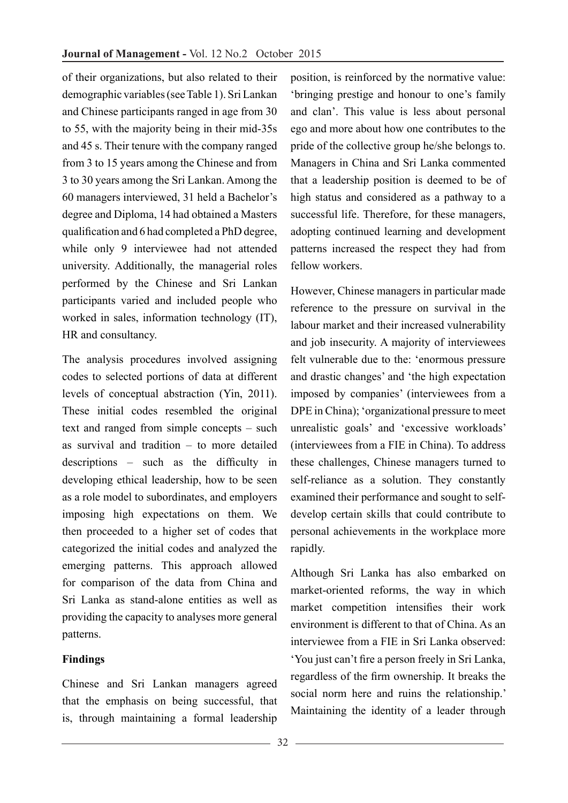of their organizations, but also related to their demographic variables (see Table 1). Sri Lankan and Chinese participants ranged in age from 30 to 55, with the majority being in their mid-35s and 45 s. Their tenure with the company ranged from 3 to 15 years among the Chinese and from 3 to 30 years among the Sri Lankan. Among the 60 managers interviewed, 31 held a Bachelor's degree and Diploma, 14 had obtained a Masters qualification and 6 had completed a PhD degree, while only 9 interviewee had not attended university. Additionally, the managerial roles performed by the Chinese and Sri Lankan participants varied and included people who worked in sales, information technology (IT), HR and consultancy.

The analysis procedures involved assigning codes to selected portions of data at different levels of conceptual abstraction (Yin, 2011). These initial codes resembled the original text and ranged from simple concepts – such as survival and tradition – to more detailed descriptions – such as the difficulty in developing ethical leadership, how to be seen as a role model to subordinates, and employers imposing high expectations on them. We then proceeded to a higher set of codes that categorized the initial codes and analyzed the emerging patterns. This approach allowed for comparison of the data from China and Sri Lanka as stand-alone entities as well as providing the capacity to analyses more general patterns.

## **Findings**

Chinese and Sri Lankan managers agreed that the emphasis on being successful, that is, through maintaining a formal leadership

position, is reinforced by the normative value: 'bringing prestige and honour to one's family and clan'. This value is less about personal ego and more about how one contributes to the pride of the collective group he/she belongs to. Managers in China and Sri Lanka commented that a leadership position is deemed to be of high status and considered as a pathway to a successful life. Therefore, for these managers, adopting continued learning and development patterns increased the respect they had from fellow workers.

However, Chinese managers in particular made reference to the pressure on survival in the labour market and their increased vulnerability and job insecurity. A majority of interviewees felt vulnerable due to the: 'enormous pressure and drastic changes' and 'the high expectation imposed by companies' (interviewees from a DPE in China); 'organizational pressure to meet unrealistic goals' and 'excessive workloads' (interviewees from a FIE in China). To address these challenges, Chinese managers turned to self-reliance as a solution. They constantly examined their performance and sought to selfdevelop certain skills that could contribute to personal achievements in the workplace more rapidly.

Although Sri Lanka has also embarked on market-oriented reforms, the way in which market competition intensifies their work environment is different to that of China. As an interviewee from a FIE in Sri Lanka observed: 'You just can't fire a person freely in Sri Lanka, regardless of the firm ownership. It breaks the social norm here and ruins the relationship.' Maintaining the identity of a leader through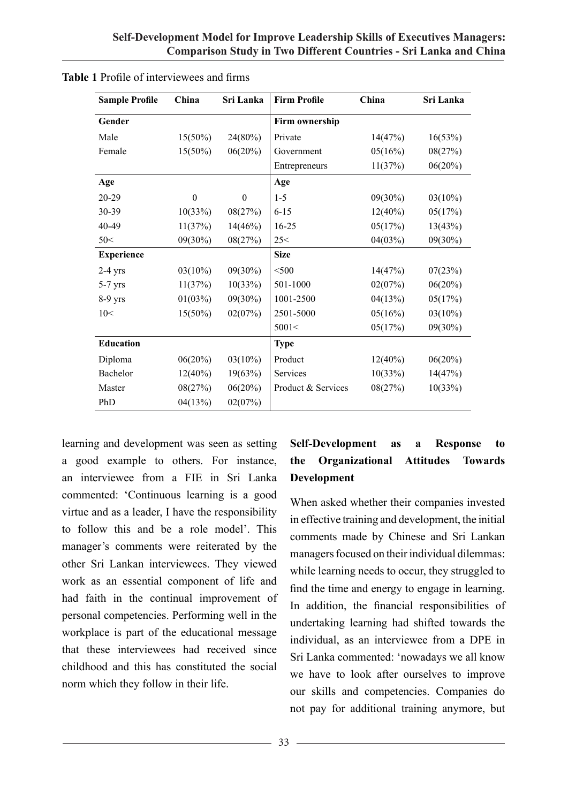| <b>Sample Profile</b> | China      | Sri Lanka  | <b>Firm Profile</b> | China      | Sri Lanka  |
|-----------------------|------------|------------|---------------------|------------|------------|
| Gender                |            |            | Firm ownership      |            |            |
| Male                  | $15(50\%)$ | 24(80%)    | Private             | 14(47%)    | 16(53%)    |
| Female                | $15(50\%)$ | 06(20%)    | Government          | 05(16%)    | 08(27%)    |
|                       |            |            | Entrepreneurs       | 11(37%)    | 06(20%)    |
| Age                   |            |            | Age                 |            |            |
| 20-29                 | $\theta$   | $\theta$   | $1-5$               | $09(30\%)$ | $03(10\%)$ |
| 30-39                 | 10(33%)    | 08(27%)    | $6 - 15$            | $12(40\%)$ | 05(17%)    |
| 40-49                 | 11(37%)    | 14(46%)    | $16 - 25$           | 05(17%)    | 13(43%)    |
| 50<                   | $09(30\%)$ | 08(27%)    | 25<                 | 04(03%)    | $09(30\%)$ |
| <b>Experience</b>     |            |            | <b>Size</b>         |            |            |
| $2-4$ yrs             | $03(10\%)$ | $09(30\%)$ | $<$ 500             | 14(47%)    | 07(23%)    |
| $5-7$ yrs             | 11(37%)    | 10(33%)    | 501-1000            | 02(07%)    | 06(20%)    |
| 8-9 yrs               | 01(03%)    | $09(30\%)$ | 1001-2500           | 04(13%)    | 05(17%)    |
| 10<                   | $15(50\%)$ | 02(07%)    | 2501-5000           | 05(16%)    | $03(10\%)$ |
|                       |            |            | 5001<               | 05(17%)    | $09(30\%)$ |
| <b>Education</b>      |            |            | <b>Type</b>         |            |            |
| Diploma               | 06(20%)    | $03(10\%)$ | Product             | $12(40\%)$ | 06(20%)    |
| Bachelor              | $12(40\%)$ | 19(63%)    | Services            | 10(33%)    | 14(47%)    |
| Master                | 08(27%)    | 06(20%)    | Product & Services  | 08(27%)    | 10(33%)    |
| PhD                   | 04(13%)    | 02(07%)    |                     |            |            |

| <b>Table 1</b> Profile of interviewees and firms |  |  |
|--------------------------------------------------|--|--|
|                                                  |  |  |

learning and development was seen as setting a good example to others. For instance, an interviewee from a FIE in Sri Lanka commented: 'Continuous learning is a good virtue and as a leader, I have the responsibility to follow this and be a role model'. This manager's comments were reiterated by the other Sri Lankan interviewees. They viewed work as an essential component of life and had faith in the continual improvement of personal competencies. Performing well in the workplace is part of the educational message that these interviewees had received since childhood and this has constituted the social norm which they follow in their life.

## **Self-Development as a Response to the Organizational Attitudes Towards Development**

When asked whether their companies invested in effective training and development, the initial comments made by Chinese and Sri Lankan managers focused on their individual dilemmas: while learning needs to occur, they struggled to find the time and energy to engage in learning. In addition, the financial responsibilities of undertaking learning had shifted towards the individual, as an interviewee from a DPE in Sri Lanka commented: 'nowadays we all know we have to look after ourselves to improve our skills and competencies. Companies do not pay for additional training anymore, but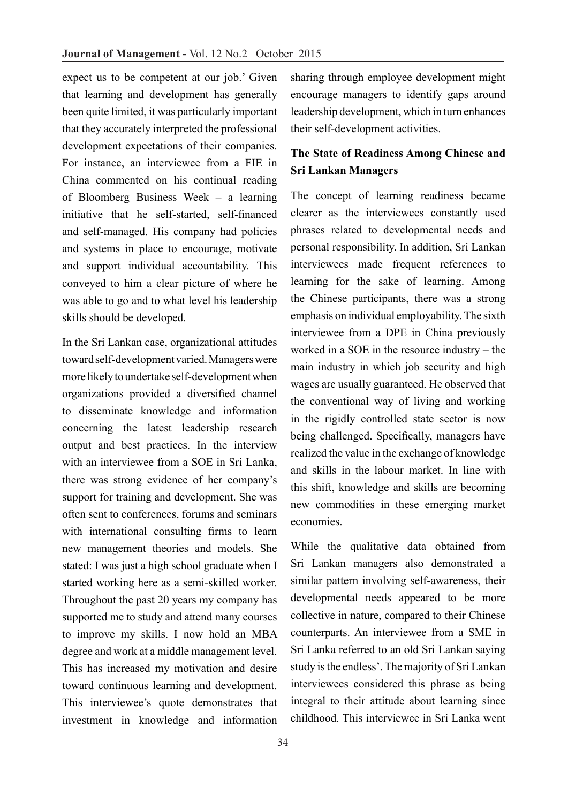expect us to be competent at our job.' Given that learning and development has generally been quite limited, it was particularly important that they accurately interpreted the professional development expectations of their companies. For instance, an interviewee from a FIE in China commented on his continual reading of Bloomberg Business Week – a learning initiative that he self-started, self-financed and self-managed. His company had policies and systems in place to encourage, motivate and support individual accountability. This conveyed to him a clear picture of where he was able to go and to what level his leadership skills should be developed.

In the Sri Lankan case, organizational attitudes toward self-development varied. Managers were more likely to undertake self-development when organizations provided a diversified channel to disseminate knowledge and information concerning the latest leadership research output and best practices. In the interview with an interviewee from a SOE in Sri Lanka, there was strong evidence of her company's support for training and development. She was often sent to conferences, forums and seminars with international consulting firms to learn new management theories and models. She stated: I was just a high school graduate when I started working here as a semi-skilled worker. Throughout the past 20 years my company has supported me to study and attend many courses to improve my skills. I now hold an MBA degree and work at a middle management level. This has increased my motivation and desire toward continuous learning and development. This interviewee's quote demonstrates that investment in knowledge and information

sharing through employee development might encourage managers to identify gaps around leadership development, which in turn enhances their self-development activities.

## **The State of Readiness Among Chinese and Sri Lankan Managers**

The concept of learning readiness became clearer as the interviewees constantly used phrases related to developmental needs and personal responsibility. In addition, Sri Lankan interviewees made frequent references to learning for the sake of learning. Among the Chinese participants, there was a strong emphasis on individual employability. The sixth interviewee from a DPE in China previously worked in a SOE in the resource industry – the main industry in which job security and high wages are usually guaranteed. He observed that the conventional way of living and working in the rigidly controlled state sector is now being challenged. Specifically, managers have realized the value in the exchange of knowledge and skills in the labour market. In line with this shift, knowledge and skills are becoming new commodities in these emerging market economies.

While the qualitative data obtained from Sri Lankan managers also demonstrated a similar pattern involving self-awareness, their developmental needs appeared to be more collective in nature, compared to their Chinese counterparts. An interviewee from a SME in Sri Lanka referred to an old Sri Lankan saying study is the endless'. The majority of Sri Lankan interviewees considered this phrase as being integral to their attitude about learning since childhood. This interviewee in Sri Lanka went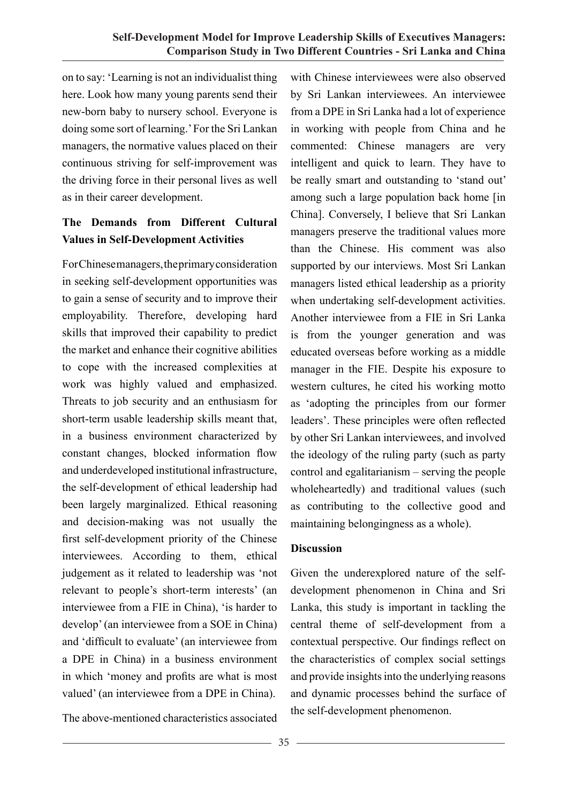on to say: 'Learning is not an individualist thing here. Look how many young parents send their new-born baby to nursery school. Everyone is doing some sort of learning.' For the Sri Lankan managers, the normative values placed on their continuous striving for self-improvement was the driving force in their personal lives as well as in their career development.

# **The Demands from Different Cultural Values in Self-Development Activities**

For Chinese managers, the primary consideration in seeking self-development opportunities was to gain a sense of security and to improve their employability. Therefore, developing hard skills that improved their capability to predict the market and enhance their cognitive abilities to cope with the increased complexities at work was highly valued and emphasized. Threats to job security and an enthusiasm for short-term usable leadership skills meant that, in a business environment characterized by constant changes, blocked information flow and underdeveloped institutional infrastructure, the self-development of ethical leadership had been largely marginalized. Ethical reasoning and decision-making was not usually the first self-development priority of the Chinese interviewees. According to them, ethical judgement as it related to leadership was 'not relevant to people's short-term interests' (an interviewee from a FIE in China), 'is harder to develop' (an interviewee from a SOE in China) and 'difficult to evaluate' (an interviewee from a DPE in China) in a business environment in which 'money and profits are what is most valued' (an interviewee from a DPE in China).

The above-mentioned characteristics associated

with Chinese interviewees were also observed by Sri Lankan interviewees. An interviewee from a DPE in Sri Lanka had a lot of experience in working with people from China and he commented: Chinese managers are very intelligent and quick to learn. They have to be really smart and outstanding to 'stand out' among such a large population back home [in China]. Conversely, I believe that Sri Lankan managers preserve the traditional values more than the Chinese. His comment was also supported by our interviews. Most Sri Lankan managers listed ethical leadership as a priority when undertaking self-development activities. Another interviewee from a FIE in Sri Lanka is from the younger generation and was educated overseas before working as a middle manager in the FIE. Despite his exposure to western cultures, he cited his working motto as 'adopting the principles from our former leaders'. These principles were often reflected by other Sri Lankan interviewees, and involved the ideology of the ruling party (such as party control and egalitarianism – serving the people wholeheartedly) and traditional values (such as contributing to the collective good and maintaining belongingness as a whole).

## **Discussion**

Given the underexplored nature of the selfdevelopment phenomenon in China and Sri Lanka, this study is important in tackling the central theme of self-development from a contextual perspective. Our findings reflect on the characteristics of complex social settings and provide insights into the underlying reasons and dynamic processes behind the surface of the self-development phenomenon.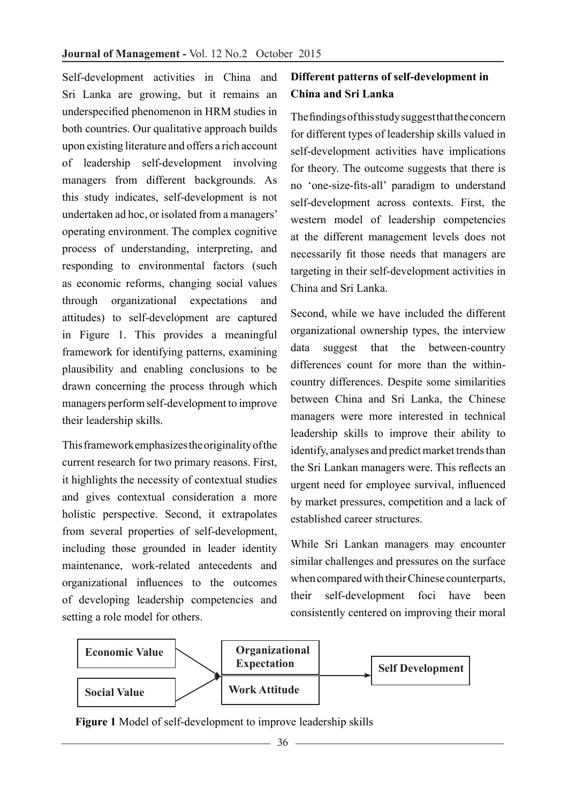Self-development activities in China and Sri Lanka are growing, but it remains an underspecified phenomenon in HRM studies in both countries. Our qualitative approach builds upon existing literature and offers a rich account of leadership self-development involving managers from different backgrounds. As this study indicates, self-development is not undertaken ad hoc, or isolated from a managers' operating environment. The complex cognitive process of understanding, interpreting, and responding to environmental factors (such as economic reforms, changing social values through organizational expectations and attitudes) to self-development are captured in Figure 1. This provides a meaningful framework for identifying patterns, examining plausibility and enabling conclusions to be drawn concerning the process through which managers perform self-development to improve their leadership skills.

This framework emphasizes the originality of the current research for two primary reasons. First, it highlights the necessity of contextual studies and gives contextual consideration a more holistic perspective. Second, it extrapolates from several properties of self-development, including those grounded in leader identity maintenance, work-related antecedents and organizational influences to the outcomes of developing leadership competencies and setting a role model for others.

# **Different patterns of self-development in China and Sri Lanka**

The findings of this study suggest that the concern for different types of leadership skills valued in self-development activities have implications for theory. The outcome suggests that there is no 'one-size-fits-all' paradigm to understand self-development across contexts. First, the western model of leadership competencies at the different management levels does not necessarily fit those needs that managers are targeting in their self-development activities in China and Sri Lanka.

Second, while we have included the different organizational ownership types, the interview data suggest that the between-country differences count for more than the withincountry differences. Despite some similarities between China and Sri Lanka, the Chinese managers were more interested in technical leadership skills to improve their ability to identify, analyses and predict market trends than the Sri Lankan managers were. This reflects an urgent need for employee survival, influenced by market pressures, competition and a lack of established career structures.

While Sri Lankan managers may encounter similar challenges and pressures on the surface when compared with their Chinese counterparts, their self-development foci have been consistently centered on improving their moral



 **Figure 1** Model of self-development to improve leadership skills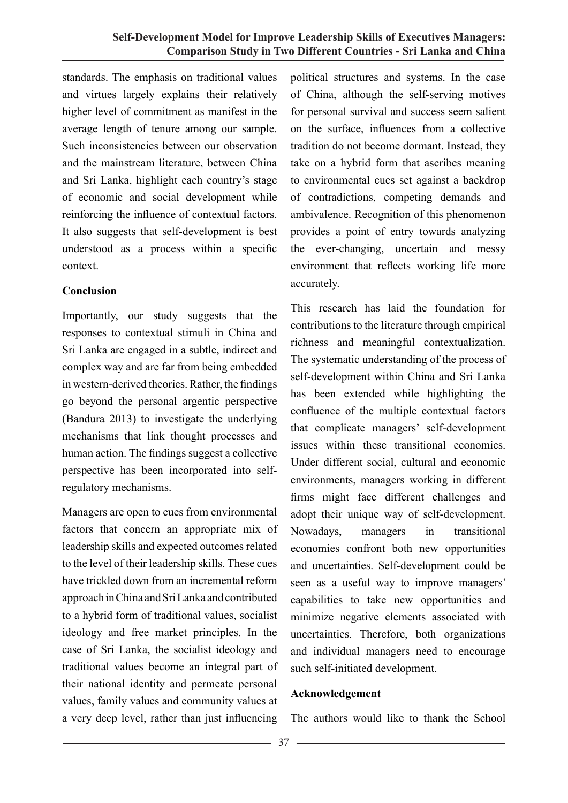standards. The emphasis on traditional values and virtues largely explains their relatively higher level of commitment as manifest in the average length of tenure among our sample. Such inconsistencies between our observation and the mainstream literature, between China and Sri Lanka, highlight each country's stage of economic and social development while reinforcing the influence of contextual factors. It also suggests that self-development is best understood as a process within a specific context.

## **Conclusion**

Importantly, our study suggests that the responses to contextual stimuli in China and Sri Lanka are engaged in a subtle, indirect and complex way and are far from being embedded in western-derived theories. Rather, the findings go beyond the personal argentic perspective (Bandura 2013) to investigate the underlying mechanisms that link thought processes and human action. The findings suggest a collective perspective has been incorporated into selfregulatory mechanisms.

Managers are open to cues from environmental factors that concern an appropriate mix of leadership skills and expected outcomes related to the level of their leadership skills. These cues have trickled down from an incremental reform approach in China and Sri Lanka and contributed to a hybrid form of traditional values, socialist ideology and free market principles. In the case of Sri Lanka, the socialist ideology and traditional values become an integral part of their national identity and permeate personal values, family values and community values at a very deep level, rather than just influencing political structures and systems. In the case of China, although the self-serving motives for personal survival and success seem salient on the surface, influences from a collective tradition do not become dormant. Instead, they take on a hybrid form that ascribes meaning to environmental cues set against a backdrop of contradictions, competing demands and ambivalence. Recognition of this phenomenon provides a point of entry towards analyzing the ever-changing, uncertain and messy environment that reflects working life more accurately.

This research has laid the foundation for contributions to the literature through empirical richness and meaningful contextualization. The systematic understanding of the process of self-development within China and Sri Lanka has been extended while highlighting the confluence of the multiple contextual factors that complicate managers' self-development issues within these transitional economies. Under different social, cultural and economic environments, managers working in different firms might face different challenges and adopt their unique way of self-development. Nowadays, managers in transitional economies confront both new opportunities and uncertainties. Self-development could be seen as a useful way to improve managers' capabilities to take new opportunities and minimize negative elements associated with uncertainties. Therefore, both organizations and individual managers need to encourage such self-initiated development.

## **Acknowledgement**

The authors would like to thank the School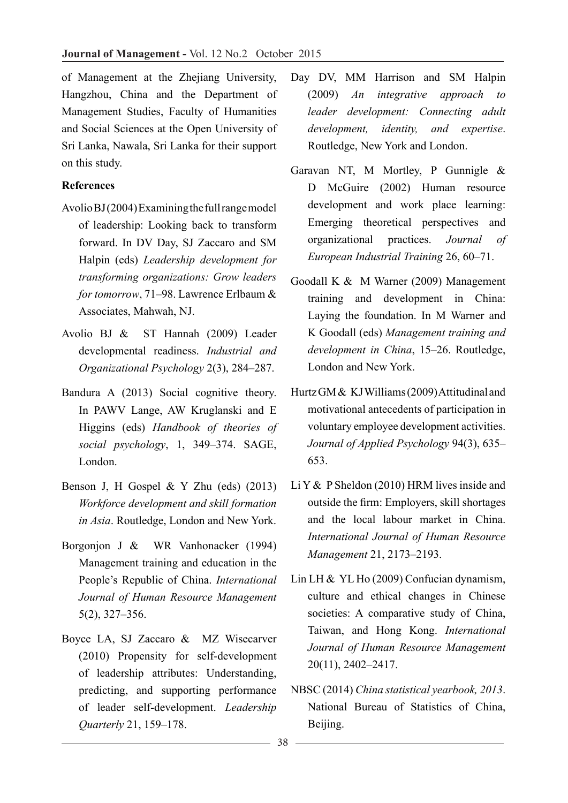of Management at the Zhejiang University, Hangzhou, China and the Department of Management Studies, Faculty of Humanities and Social Sciences at the Open University of Sri Lanka, Nawala, Sri Lanka for their support on this study.

#### **References**

- Avolio BJ (2004) Examining the full range model of leadership: Looking back to transform forward. In DV Day, SJ Zaccaro and SM Halpin (eds) *Leadership development for transforming organizations: Grow leaders for tomorrow*, 71–98. Lawrence Erlbaum & Associates, Mahwah, NJ.
- Avolio BJ & ST Hannah (2009) Leader developmental readiness. *Industrial and Organizational Psychology* 2(3), 284–287.
- Bandura A (2013) Social cognitive theory. In PAWV Lange, AW Kruglanski and E Higgins (eds) *Handbook of theories of social psychology*, 1, 349–374. SAGE, London.
- Benson J, H Gospel & Y Zhu (eds) (2013) *Workforce development and skill formation in Asia*. Routledge, London and New York.
- Borgonjon J & WR Vanhonacker (1994) Management training and education in the People's Republic of China. *International Journal of Human Resource Management*  5(2), 327–356.
- Boyce LA, SJ Zaccaro & MZ Wisecarver (2010) Propensity for self-development of leadership attributes: Understanding, predicting, and supporting performance of leader self-development. *Leadership Quarterly* 21, 159–178.
- Day DV, MM Harrison and SM Halpin (2009) *An integrative approach to leader development: Connecting adult development, identity, and expertise*. Routledge, New York and London.
- Garavan NT, M Mortley, P Gunnigle & D McGuire (2002) Human resource development and work place learning: Emerging theoretical perspectives and organizational practices. *Journal of European Industrial Training* 26, 60–71.
- Goodall K & M Warner (2009) Management training and development in China: Laying the foundation. In M Warner and K Goodall (eds) *Management training and development in China*, 15–26. Routledge, London and New York.
- Hurtz GM & KJ Williams (2009) Attitudinal and motivational antecedents of participation in voluntary employee development activities. *Journal of Applied Psychology* 94(3), 635– 653.
- Li Y & P Sheldon (2010) HRM lives inside and outside the firm: Employers, skill shortages and the local labour market in China. *International Journal of Human Resource Management* 21, 2173–2193.
- Lin LH & YL Ho (2009) Confucian dynamism, culture and ethical changes in Chinese societies: A comparative study of China, Taiwan, and Hong Kong. *International Journal of Human Resource Management*  20(11), 2402–2417.
- NBSC (2014) *China statistical yearbook, 2013*. National Bureau of Statistics of China, Beijing.